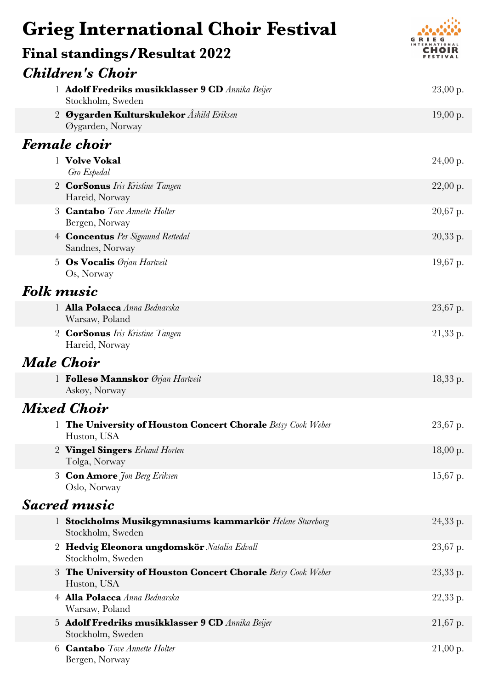## **Grieg International Choir Festival**



| <b>Final standings/Resultat 2022</b>                                           | <b>INTERNATIONAL</b><br>CHOIR |
|--------------------------------------------------------------------------------|-------------------------------|
| <b>Children's Choir</b>                                                        |                               |
| 1 Adolf Fredriks musikklasser 9 CD Annika Beijer<br>Stockholm, Sweden          | $23,00$ p.                    |
| Øygarden Kulturskulekor Åshild Eriksen<br>$\overline{2}$<br>Øygarden, Norway   | 19,00 p.                      |
| <b>Female choir</b>                                                            |                               |
| 1 Volve Vokal<br>Gro Espedal                                                   | $24,00$ p.                    |
| <b>CorSonus</b> Iris Kristine Tangen<br>$2^{\circ}$<br>Hareid, Norway          | $22,00$ p.                    |
| 3 <b>Cantabo</b> Tove Annette Holter<br>Bergen, Norway                         | $20,67$ p.                    |
| 4 <b>Concentus</b> Per Sigmund Rettedal<br>Sandnes, Norway                     | 20,33 p.                      |
| <b>Os Vocalis</b> <i>Orjan Hartveit</i><br>5 <sub>1</sub><br>Os, Norway        | $19,67$ p.                    |
| <b>Folk music</b>                                                              |                               |
| 1 Alla Polacca Anna Bednarska<br>Warsaw, Poland                                | 23,67 p.                      |
| <b>CorSonus</b> Iris Kristine Tangen<br>$\overline{2}$<br>Hareid, Norway       | $21,33$ p.                    |
| <b>Male Choir</b>                                                              |                               |
| 1 Follesø Mannskor Ørjan Hartveit<br>Askøy, Norway                             | 18,33 p.                      |
| Mixed Choir                                                                    |                               |
| 1 The University of Houston Concert Chorale Betsy Cook Weber<br>Huston, USA    | 23,67 p.                      |
| 2 Vingel Singers Erland Horten<br>Tolga, Norway                                | 18,00 p.                      |
| <b>Con Amore</b> Jon Berg Eriksen<br>3<br>Oslo, Norway                         | $15,67$ p.                    |
| <b>Sacred music</b>                                                            |                               |
| 1 Stockholms Musikgymnasiums kammarkör Helene Stureborg<br>Stockholm, Sweden   | 24,33 p.                      |
| 2 Hedvig Eleonora ungdomskör Natalia Edvall<br>Stockholm, Sweden               | 23,67 p.                      |
| The University of Houston Concert Chorale Betsy Cook Weber<br>3<br>Huston, USA | 23,33 p.                      |
| 4 Alla Polacca Anna Bednarska<br>Warsaw, Poland                                | 22,33 p.                      |
| 5 Adolf Fredriks musikklasser 9 CD Annika Beijer<br>Stockholm, Sweden          | $21,67$ p.                    |
| 6 <b>Cantabo</b> Tove Annette Holter<br>Bergen, Norway                         | $21,00$ p.                    |